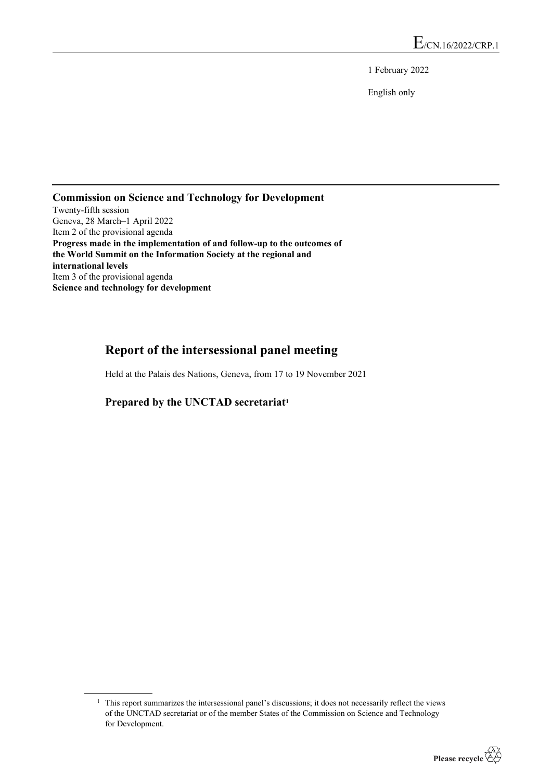1 February 2022

English only

# **Commission on Science and Technology for Development**

Twenty-fifth session Geneva, 28 March–1 April 2022 Item 2 of the provisional agenda **Progress made in the implementation of and follow-up to the outcomes of the World Summit on the Information Society at the regional and international levels** Item 3 of the provisional agenda **Science and technology for development**

# **Report of the intersessional panel meeting**

Held at the Palais des Nations, Geneva, from 17 to 19 November 2021

### **Prepared by the UNCTAD secretariat[1](#page-0-0)**

<span id="page-0-0"></span> $1$ . This report summarizes the intersessional panel's discussions; it does not necessarily reflect the views of the UNCTAD secretariat or of the member States of the Commission on Science and Technology for Development.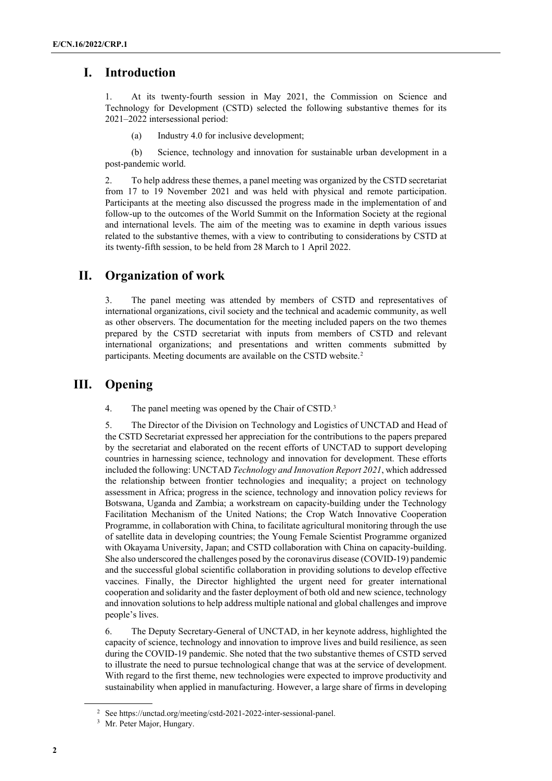## **I. Introduction**

1. At its twenty-fourth session in May 2021, the Commission on Science and Technology for Development (CSTD) selected the following substantive themes for its 2021–2022 intersessional period:

(a) Industry 4.0 for inclusive development;

(b) Science, technology and innovation for sustainable urban development in a post-pandemic world.

2. To help address these themes, a panel meeting was organized by the CSTD secretariat from 17 to 19 November 2021 and was held with physical and remote participation. Participants at the meeting also discussed the progress made in the implementation of and follow-up to the outcomes of the World Summit on the Information Society at the regional and international levels. The aim of the meeting was to examine in depth various issues related to the substantive themes, with a view to contributing to considerations by CSTD at its twenty-fifth session, to be held from 28 March to 1 April 2022.

## **II. Organization of work**

3. The panel meeting was attended by members of CSTD and representatives of international organizations, civil society and the technical and academic community, as well as other observers. The documentation for the meeting included papers on the two themes prepared by the CSTD secretariat with inputs from members of CSTD and relevant international organizations; and presentations and written comments submitted by participants. Meeting documents are available on the CSTD website.[2](#page-1-0)

# **III. Opening**

4. The panel meeting was opened by the Chair of CSTD.<sup>[3](#page-1-1)</sup>

5. The Director of the Division on Technology and Logistics of UNCTAD and Head of the CSTD Secretariat expressed her appreciation for the contributions to the papers prepared by the secretariat and elaborated on the recent efforts of UNCTAD to support developing countries in harnessing science, technology and innovation for development. These efforts included the following: UNCTAD *Technology and Innovation Report 2021*, which addressed the relationship between frontier technologies and inequality; a project on technology assessment in Africa; progress in the science, technology and innovation policy reviews for Botswana, Uganda and Zambia; a workstream on capacity-building under the Technology Facilitation Mechanism of the United Nations; the Crop Watch Innovative Cooperation Programme, in collaboration with China, to facilitate agricultural monitoring through the use of satellite data in developing countries; the Young Female Scientist Programme organized with Okayama University, Japan; and CSTD collaboration with China on capacity-building. She also underscored the challenges posed by the coronavirus disease (COVID-19) pandemic and the successful global scientific collaboration in providing solutions to develop effective vaccines. Finally, the Director highlighted the urgent need for greater international cooperation and solidarity and the faster deployment of both old and new science, technology and innovation solutions to help address multiple national and global challenges and improve people's lives.

6. The Deputy Secretary-General of UNCTAD, in her keynote address, highlighted the capacity of science, technology and innovation to improve lives and build resilience, as seen during the COVID-19 pandemic. She noted that the two substantive themes of CSTD served to illustrate the need to pursue technological change that was at the service of development. With regard to the first theme, new technologies were expected to improve productivity and sustainability when applied in manufacturing. However, a large share of firms in developing

<span id="page-1-1"></span><span id="page-1-0"></span><sup>2</sup> See https://unctad.org/meeting/cstd-2021-2022-inter-sessional-panel.

<sup>&</sup>lt;sup>3</sup> Mr. Peter Major, Hungary.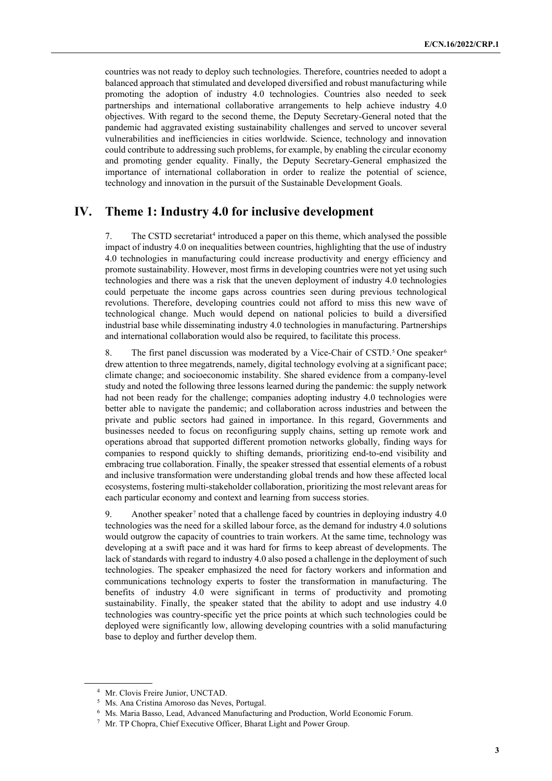countries was not ready to deploy such technologies. Therefore, countries needed to adopt a balanced approach that stimulated and developed diversified and robust manufacturing while promoting the adoption of industry 4.0 technologies. Countries also needed to seek partnerships and international collaborative arrangements to help achieve industry 4.0 objectives. With regard to the second theme, the Deputy Secretary-General noted that the pandemic had aggravated existing sustainability challenges and served to uncover several vulnerabilities and inefficiencies in cities worldwide. Science, technology and innovation could contribute to addressing such problems, for example, by enabling the circular economy and promoting gender equality. Finally, the Deputy Secretary-General emphasized the importance of international collaboration in order to realize the potential of science, technology and innovation in the pursuit of the Sustainable Development Goals.

# **IV. Theme 1: Industry 4.0 for inclusive development**

7. The CSTD secretariat<sup>[4](#page-2-0)</sup> introduced a paper on this theme, which analysed the possible impact of industry 4.0 on inequalities between countries, highlighting that the use of industry 4.0 technologies in manufacturing could increase productivity and energy efficiency and promote sustainability. However, most firms in developing countries were not yet using such technologies and there was a risk that the uneven deployment of industry 4.0 technologies could perpetuate the income gaps across countries seen during previous technological revolutions. Therefore, developing countries could not afford to miss this new wave of technological change. Much would depend on national policies to build a diversified industrial base while disseminating industry 4.0 technologies in manufacturing. Partnerships and international collaboration would also be required, to facilitate this process.

8. The first panel discussion was moderated by a Vice-Chair of CSTD.<sup>[5](#page-2-1)</sup> One speaker<sup>[6](#page-2-2)</sup> drew attention to three megatrends, namely, digital technology evolving at a significant pace; climate change; and socioeconomic instability. She shared evidence from a company-level study and noted the following three lessons learned during the pandemic: the supply network had not been ready for the challenge; companies adopting industry 4.0 technologies were better able to navigate the pandemic; and collaboration across industries and between the private and public sectors had gained in importance. In this regard, Governments and businesses needed to focus on reconfiguring supply chains, setting up remote work and operations abroad that supported different promotion networks globally, finding ways for companies to respond quickly to shifting demands, prioritizing end-to-end visibility and embracing true collaboration. Finally, the speaker stressed that essential elements of a robust and inclusive transformation were understanding global trends and how these affected local ecosystems, fostering multi-stakeholder collaboration, prioritizing the most relevant areas for each particular economy and context and learning from success stories.

9. Another speaker<sup>[7](#page-2-3)</sup> noted that a challenge faced by countries in deploying industry 4.0 technologies was the need for a skilled labour force, as the demand for industry 4.0 solutions would outgrow the capacity of countries to train workers. At the same time, technology was developing at a swift pace and it was hard for firms to keep abreast of developments. The lack of standards with regard to industry 4.0 also posed a challenge in the deployment of such technologies. The speaker emphasized the need for factory workers and information and communications technology experts to foster the transformation in manufacturing. The benefits of industry 4.0 were significant in terms of productivity and promoting sustainability. Finally, the speaker stated that the ability to adopt and use industry 4.0 technologies was country-specific yet the price points at which such technologies could be deployed were significantly low, allowing developing countries with a solid manufacturing base to deploy and further develop them.

<span id="page-2-0"></span><sup>4</sup> Mr. Clovis Freire Junior, UNCTAD.

<span id="page-2-1"></span><sup>5</sup> Ms. Ana Cristina Amoroso das Neves, Portugal.

<span id="page-2-2"></span><sup>6</sup> Ms. Maria Basso, Lead, Advanced Manufacturing and Production, World Economic Forum.

<span id="page-2-3"></span><sup>7</sup> Mr. TP Chopra, Chief Executive Officer, Bharat Light and Power Group.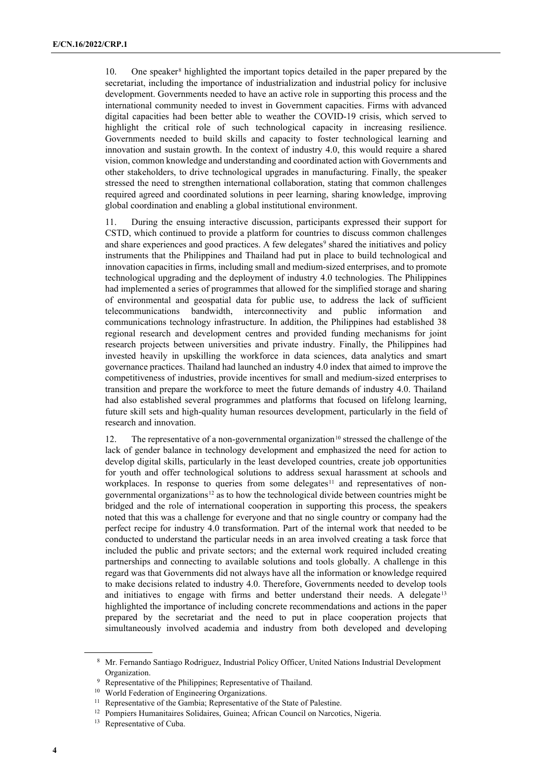10. One speaker[8](#page-3-0) highlighted the important topics detailed in the paper prepared by the secretariat, including the importance of industrialization and industrial policy for inclusive development. Governments needed to have an active role in supporting this process and the international community needed to invest in Government capacities. Firms with advanced digital capacities had been better able to weather the COVID-19 crisis, which served to highlight the critical role of such technological capacity in increasing resilience. Governments needed to build skills and capacity to foster technological learning and innovation and sustain growth. In the context of industry 4.0, this would require a shared vision, common knowledge and understanding and coordinated action with Governments and other stakeholders, to drive technological upgrades in manufacturing. Finally, the speaker stressed the need to strengthen international collaboration, stating that common challenges required agreed and coordinated solutions in peer learning, sharing knowledge, improving global coordination and enabling a global institutional environment.

11. During the ensuing interactive discussion, participants expressed their support for CSTD, which continued to provide a platform for countries to discuss common challenges and share experiences and good practices. A few delegates<sup>[9](#page-3-1)</sup> shared the initiatives and policy instruments that the Philippines and Thailand had put in place to build technological and innovation capacities in firms, including small and medium-sized enterprises, and to promote technological upgrading and the deployment of industry 4.0 technologies. The Philippines had implemented a series of programmes that allowed for the simplified storage and sharing of environmental and geospatial data for public use, to address the lack of sufficient telecommunications bandwidth, interconnectivity and public information and communications technology infrastructure. In addition, the Philippines had established 38 regional research and development centres and provided funding mechanisms for joint research projects between universities and private industry. Finally, the Philippines had invested heavily in upskilling the workforce in data sciences, data analytics and smart governance practices. Thailand had launched an industry 4.0 index that aimed to improve the competitiveness of industries, provide incentives for small and medium-sized enterprises to transition and prepare the workforce to meet the future demands of industry 4.0. Thailand had also established several programmes and platforms that focused on lifelong learning, future skill sets and high-quality human resources development, particularly in the field of research and innovation.

12. The representative of a non-governmental organization<sup>[10](#page-3-2)</sup> stressed the challenge of the lack of gender balance in technology development and emphasized the need for action to develop digital skills, particularly in the least developed countries, create job opportunities for youth and offer technological solutions to address sexual harassment at schools and workplaces. In response to queries from some delegates<sup>[11](#page-3-3)</sup> and representatives of non-governmental organizations<sup>[12](#page-3-4)</sup> as to how the technological divide between countries might be bridged and the role of international cooperation in supporting this process, the speakers noted that this was a challenge for everyone and that no single country or company had the perfect recipe for industry 4.0 transformation. Part of the internal work that needed to be conducted to understand the particular needs in an area involved creating a task force that included the public and private sectors; and the external work required included creating partnerships and connecting to available solutions and tools globally. A challenge in this regard was that Governments did not always have all the information or knowledge required to make decisions related to industry 4.0. Therefore, Governments needed to develop tools and initiatives to engage with firms and better understand their needs. A delegate  $13$ highlighted the importance of including concrete recommendations and actions in the paper prepared by the secretariat and the need to put in place cooperation projects that simultaneously involved academia and industry from both developed and developing

<span id="page-3-0"></span><sup>8</sup> Mr. Fernando Santiago Rodriguez, Industrial Policy Officer, United Nations Industrial Development Organization.

<sup>&</sup>lt;sup>9</sup> Representative of the Philippines; Representative of Thailand.

<span id="page-3-2"></span><span id="page-3-1"></span><sup>10</sup> World Federation of Engineering Organizations.

<span id="page-3-3"></span><sup>&</sup>lt;sup>11</sup> Representative of the Gambia; Representative of the State of Palestine.

<span id="page-3-4"></span><sup>&</sup>lt;sup>12</sup> Pompiers Humanitaires Solidaires, Guinea; African Council on Narcotics, Nigeria.

<span id="page-3-5"></span><sup>&</sup>lt;sup>13</sup> Representative of Cuba.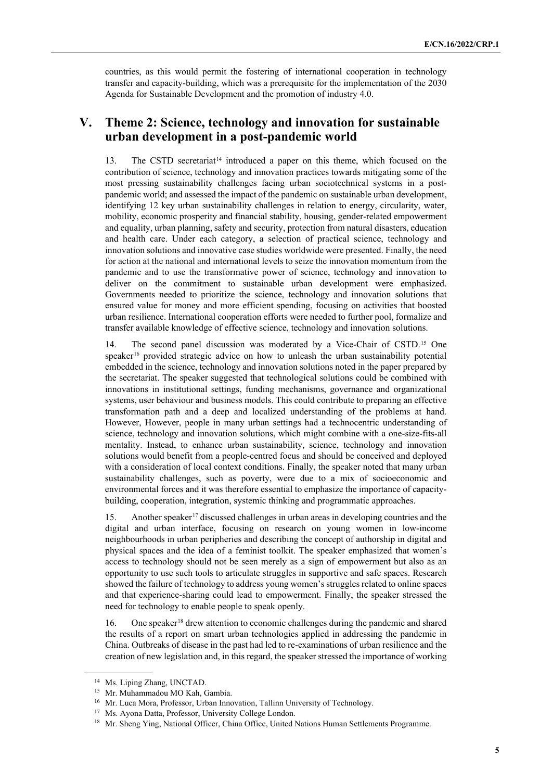countries, as this would permit the fostering of international cooperation in technology transfer and capacity-building, which was a prerequisite for the implementation of the 2030 Agenda for Sustainable Development and the promotion of industry 4.0.

## **V. Theme 2: Science, technology and innovation for sustainable urban development in a post-pandemic world**

13. The CSTD secretariat<sup>[14](#page-4-0)</sup> introduced a paper on this theme, which focused on the contribution of science, technology and innovation practices towards mitigating some of the most pressing sustainability challenges facing urban sociotechnical systems in a postpandemic world; and assessed the impact of the pandemic on sustainable urban development, identifying 12 key urban sustainability challenges in relation to energy, circularity, water, mobility, economic prosperity and financial stability, housing, gender-related empowerment and equality, urban planning, safety and security, protection from natural disasters, education and health care. Under each category, a selection of practical science, technology and innovation solutions and innovative case studies worldwide were presented. Finally, the need for action at the national and international levels to seize the innovation momentum from the pandemic and to use the transformative power of science, technology and innovation to deliver on the commitment to sustainable urban development were emphasized. Governments needed to prioritize the science, technology and innovation solutions that ensured value for money and more efficient spending, focusing on activities that boosted urban resilience. International cooperation efforts were needed to further pool, formalize and transfer available knowledge of effective science, technology and innovation solutions.

14. The second panel discussion was moderated by a Vice-Chair of CSTD.[15](#page-4-1) One speaker<sup>[16](#page-4-2)</sup> provided strategic advice on how to unleash the urban sustainability potential embedded in the science, technology and innovation solutions noted in the paper prepared by the secretariat. The speaker suggested that technological solutions could be combined with innovations in institutional settings, funding mechanisms, governance and organizational systems, user behaviour and business models. This could contribute to preparing an effective transformation path and a deep and localized understanding of the problems at hand. However, However, people in many urban settings had a technocentric understanding of science, technology and innovation solutions, which might combine with a one-size-fits-all mentality. Instead, to enhance urban sustainability, science, technology and innovation solutions would benefit from a people-centred focus and should be conceived and deployed with a consideration of local context conditions. Finally, the speaker noted that many urban sustainability challenges, such as poverty, were due to a mix of socioeconomic and environmental forces and it was therefore essential to emphasize the importance of capacitybuilding, cooperation, integration, systemic thinking and programmatic approaches.

15. Another speaker<sup>[17](#page-4-3)</sup> discussed challenges in urban areas in developing countries and the digital and urban interface, focusing on research on young women in low-income neighbourhoods in urban peripheries and describing the concept of authorship in digital and physical spaces and the idea of a feminist toolkit. The speaker emphasized that women's access to technology should not be seen merely as a sign of empowerment but also as an opportunity to use such tools to articulate struggles in supportive and safe spaces. Research showed the failure of technology to address young women's struggles related to online spaces and that experience-sharing could lead to empowerment. Finally, the speaker stressed the need for technology to enable people to speak openly.

16. One speaker<sup>[18](#page-4-4)</sup> drew attention to economic challenges during the pandemic and shared the results of a report on smart urban technologies applied in addressing the pandemic in China. Outbreaks of disease in the past had led to re-examinations of urban resilience and the creation of new legislation and, in this regard, the speaker stressed the importance of working

<span id="page-4-0"></span><sup>&</sup>lt;sup>14</sup> Ms. Liping Zhang, UNCTAD.

<span id="page-4-1"></span><sup>15</sup> Mr. Muhammadou MO Kah, Gambia.

<span id="page-4-2"></span><sup>&</sup>lt;sup>16</sup> Mr. Luca Mora, Professor, Urban Innovation, Tallinn University of Technology.

<span id="page-4-3"></span><sup>&</sup>lt;sup>17</sup> Ms. Ayona Datta, Professor, University College London.

<span id="page-4-4"></span><sup>&</sup>lt;sup>18</sup> Mr. Sheng Ying, National Officer, China Office, United Nations Human Settlements Programme.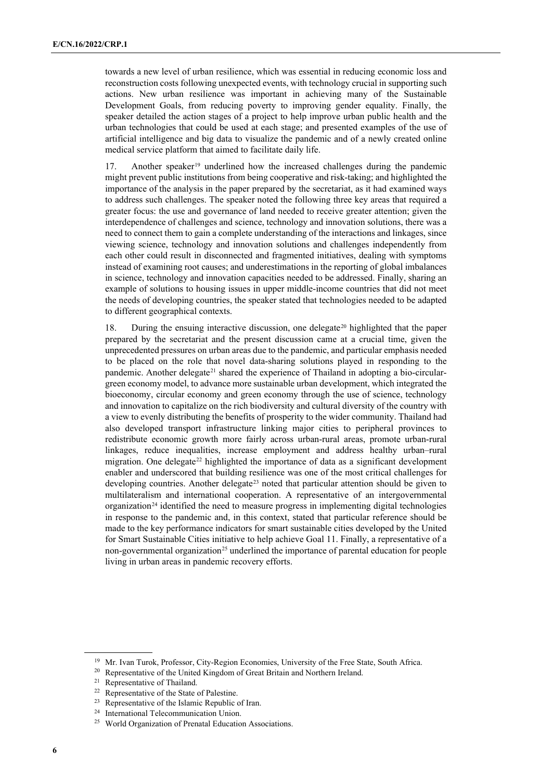towards a new level of urban resilience, which was essential in reducing economic loss and reconstruction costs following unexpected events, with technology crucial in supporting such actions. New urban resilience was important in achieving many of the Sustainable Development Goals, from reducing poverty to improving gender equality. Finally, the speaker detailed the action stages of a project to help improve urban public health and the urban technologies that could be used at each stage; and presented examples of the use of artificial intelligence and big data to visualize the pandemic and of a newly created online medical service platform that aimed to facilitate daily life.

17. Another speaker<sup>[19](#page-5-0)</sup> underlined how the increased challenges during the pandemic might prevent public institutions from being cooperative and risk-taking; and highlighted the importance of the analysis in the paper prepared by the secretariat, as it had examined ways to address such challenges. The speaker noted the following three key areas that required a greater focus: the use and governance of land needed to receive greater attention; given the interdependence of challenges and science, technology and innovation solutions, there was a need to connect them to gain a complete understanding of the interactions and linkages, since viewing science, technology and innovation solutions and challenges independently from each other could result in disconnected and fragmented initiatives, dealing with symptoms instead of examining root causes; and underestimations in the reporting of global imbalances in science, technology and innovation capacities needed to be addressed. Finally, sharing an example of solutions to housing issues in upper middle-income countries that did not meet the needs of developing countries, the speaker stated that technologies needed to be adapted to different geographical contexts.

18. During the ensuing interactive discussion, one delegate<sup>[20](#page-5-1)</sup> highlighted that the paper prepared by the secretariat and the present discussion came at a crucial time, given the unprecedented pressures on urban areas due to the pandemic, and particular emphasis needed to be placed on the role that novel data-sharing solutions played in responding to the pandemic. Another delegate<sup>[21](#page-5-2)</sup> shared the experience of Thailand in adopting a bio-circulargreen economy model, to advance more sustainable urban development, which integrated the bioeconomy, circular economy and green economy through the use of science, technology and innovation to capitalize on the rich biodiversity and cultural diversity of the country with a view to evenly distributing the benefits of prosperity to the wider community. Thailand had also developed transport infrastructure linking major cities to peripheral provinces to redistribute economic growth more fairly across urban-rural areas, promote urban-rural linkages, reduce inequalities, increase employment and address healthy urban–rural migration. One delegate<sup>[22](#page-5-3)</sup> highlighted the importance of data as a significant development enabler and underscored that building resilience was one of the most critical challenges for developing countries. Another delegate<sup>[23](#page-5-4)</sup> noted that particular attention should be given to multilateralism and international cooperation. A representative of an intergovernmental organization<sup>[24](#page-5-5)</sup> identified the need to measure progress in implementing digital technologies in response to the pandemic and, in this context, stated that particular reference should be made to the key performance indicators for smart sustainable cities developed by the United for Smart Sustainable Cities initiative to help achieve Goal 11. Finally, a representative of a non-governmental organization<sup>[25](#page-5-6)</sup> underlined the importance of parental education for people living in urban areas in pandemic recovery efforts.

<span id="page-5-0"></span><sup>&</sup>lt;sup>19</sup> Mr. Ivan Turok, Professor, City-Region Economies, University of the Free State, South Africa.

<span id="page-5-1"></span><sup>&</sup>lt;sup>20</sup> Representative of the United Kingdom of Great Britain and Northern Ireland.

<span id="page-5-2"></span><sup>21</sup> Representative of Thailand.

<sup>&</sup>lt;sup>22</sup> Representative of the State of Palestine.

<span id="page-5-4"></span><span id="page-5-3"></span><sup>23</sup> Representative of the Islamic Republic of Iran.

<span id="page-5-6"></span><span id="page-5-5"></span><sup>24</sup> International Telecommunication Union.

<sup>25</sup> World Organization of Prenatal Education Associations.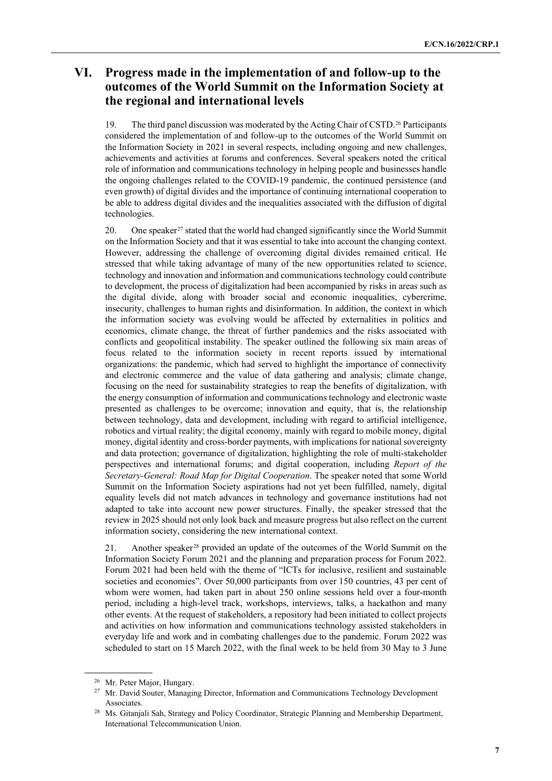# **VI. Progress made in the implementation of and follow-up to the outcomes of the World Summit on the Information Society at the regional and international levels**

19. The third panel discussion was moderated by the Acting Chair of CSTD.[26](#page-6-0) Participants considered the implementation of and follow-up to the outcomes of the World Summit on the Information Society in 2021 in several respects, including ongoing and new challenges, achievements and activities at forums and conferences. Several speakers noted the critical role of information and communications technology in helping people and businesses handle the ongoing challenges related to the COVID-19 pandemic, the continued persistence (and even growth) of digital divides and the importance of continuing international cooperation to be able to address digital divides and the inequalities associated with the diffusion of digital technologies.

20. One speaker<sup>[27](#page-6-1)</sup> stated that the world had changed significantly since the World Summit on the Information Society and that it was essential to take into account the changing context. However, addressing the challenge of overcoming digital divides remained critical. He stressed that while taking advantage of many of the new opportunities related to science, technology and innovation and information and communications technology could contribute to development, the process of digitalization had been accompanied by risks in areas such as the digital divide, along with broader social and economic inequalities, cybercrime, insecurity, challenges to human rights and disinformation. In addition, the context in which the information society was evolving would be affected by externalities in politics and economics, climate change, the threat of further pandemics and the risks associated with conflicts and geopolitical instability. The speaker outlined the following six main areas of focus related to the information society in recent reports issued by international organizations: the pandemic, which had served to highlight the importance of connectivity and electronic commerce and the value of data gathering and analysis; climate change, focusing on the need for sustainability strategies to reap the benefits of digitalization, with the energy consumption of information and communications technology and electronic waste presented as challenges to be overcome; innovation and equity, that is, the relationship between technology, data and development, including with regard to artificial intelligence, robotics and virtual reality; the digital economy, mainly with regard to mobile money, digital money, digital identity and cross-border payments, with implications for national sovereignty and data protection; governance of digitalization, highlighting the role of multi-stakeholder perspectives and international forums; and digital cooperation, including *Report of the Secretary-General: Road Map for Digital Cooperation*. The speaker noted that some World Summit on the Information Society aspirations had not yet been fulfilled, namely, digital equality levels did not match advances in technology and governance institutions had not adapted to take into account new power structures. Finally, the speaker stressed that the review in 2025 should not only look back and measure progress but also reflect on the current information society, considering the new international context.

21. Another speaker[28](#page-6-2) provided an update of the outcomes of the World Summit on the Information Society Forum 2021 and the planning and preparation process for Forum 2022. Forum 2021 had been held with the theme of "ICTs for inclusive, resilient and sustainable societies and economies". Over 50,000 participants from over 150 countries, 43 per cent of whom were women, had taken part in about 250 online sessions held over a four-month period, including a high-level track, workshops, interviews, talks, a hackathon and many other events. At the request of stakeholders, a repository had been initiated to collect projects and activities on how information and communications technology assisted stakeholders in everyday life and work and in combating challenges due to the pandemic. Forum 2022 was scheduled to start on 15 March 2022, with the final week to be held from 30 May to 3 June

<sup>26</sup> Mr. Peter Major, Hungary.

<span id="page-6-1"></span><span id="page-6-0"></span><sup>&</sup>lt;sup>27</sup> Mr. David Souter, Managing Director, Information and Communications Technology Development Associates.

<span id="page-6-2"></span><sup>&</sup>lt;sup>28</sup> Ms. Gitanjali Sah, Strategy and Policy Coordinator, Strategic Planning and Membership Department, International Telecommunication Union.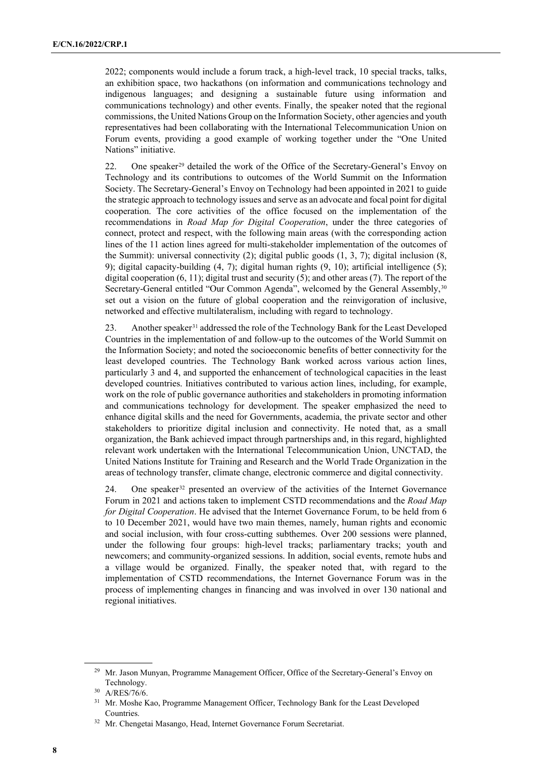2022; components would include a forum track, a high-level track, 10 special tracks, talks, an exhibition space, two hackathons (on information and communications technology and indigenous languages; and designing a sustainable future using information and communications technology) and other events. Finally, the speaker noted that the regional commissions, the United Nations Group on the Information Society, other agencies and youth representatives had been collaborating with the International Telecommunication Union on Forum events, providing a good example of working together under the "One United Nations" initiative.

22. One speaker<sup>[29](#page-7-0)</sup> detailed the work of the Office of the Secretary-General's Envoy on Technology and its contributions to outcomes of the World Summit on the Information Society. The Secretary-General's Envoy on Technology had been appointed in 2021 to guide the strategic approach to technology issues and serve as an advocate and focal point for digital cooperation. The core activities of the office focused on the implementation of the recommendations in *Road Map for Digital Cooperation*, under the three categories of connect, protect and respect, with the following main areas (with the corresponding action lines of the 11 action lines agreed for multi-stakeholder implementation of the outcomes of the Summit): universal connectivity  $(2)$ ; digital public goods  $(1, 3, 7)$ ; digital inclusion  $(8, 1, 3)$ 9); digital capacity-building (4, 7); digital human rights (9, 10); artificial intelligence (5); digital cooperation  $(6, 11)$ ; digital trust and security  $(5)$ ; and other areas  $(7)$ . The report of the Secretary-General entitled "Our Common Agenda", welcomed by the General Assembly,<sup>[30](#page-7-1)</sup> set out a vision on the future of global cooperation and the reinvigoration of inclusive, networked and effective multilateralism, including with regard to technology.

23. Another speaker<sup>[31](#page-7-2)</sup> addressed the role of the Technology Bank for the Least Developed Countries in the implementation of and follow-up to the outcomes of the World Summit on the Information Society; and noted the socioeconomic benefits of better connectivity for the least developed countries. The Technology Bank worked across various action lines, particularly 3 and 4, and supported the enhancement of technological capacities in the least developed countries. Initiatives contributed to various action lines, including, for example, work on the role of public governance authorities and stakeholders in promoting information and communications technology for development. The speaker emphasized the need to enhance digital skills and the need for Governments, academia, the private sector and other stakeholders to prioritize digital inclusion and connectivity. He noted that, as a small organization, the Bank achieved impact through partnerships and, in this regard, highlighted relevant work undertaken with the International Telecommunication Union, UNCTAD, the United Nations Institute for Training and Research and the World Trade Organization in the areas of technology transfer, climate change, electronic commerce and digital connectivity.

24. One speaker[32](#page-7-3) presented an overview of the activities of the Internet Governance Forum in 2021 and actions taken to implement CSTD recommendations and the *Road Map for Digital Cooperation*. He advised that the Internet Governance Forum, to be held from 6 to 10 December 2021, would have two main themes, namely, human rights and economic and social inclusion, with four cross-cutting subthemes. Over 200 sessions were planned, under the following four groups: high-level tracks; parliamentary tracks; youth and newcomers; and community-organized sessions. In addition, social events, remote hubs and a village would be organized. Finally, the speaker noted that, with regard to the implementation of CSTD recommendations, the Internet Governance Forum was in the process of implementing changes in financing and was involved in over 130 national and regional initiatives.

<span id="page-7-0"></span><sup>&</sup>lt;sup>29</sup> Mr. Jason Munyan, Programme Management Officer, Office of the Secretary-General's Envoy on Technology.

<span id="page-7-1"></span><sup>30</sup> A/RES/76/6.

<span id="page-7-2"></span><sup>&</sup>lt;sup>31</sup> Mr. Moshe Kao, Programme Management Officer, Technology Bank for the Least Developed Countries.

<span id="page-7-3"></span><sup>&</sup>lt;sup>32</sup> Mr. Chengetai Masango, Head, Internet Governance Forum Secretariat.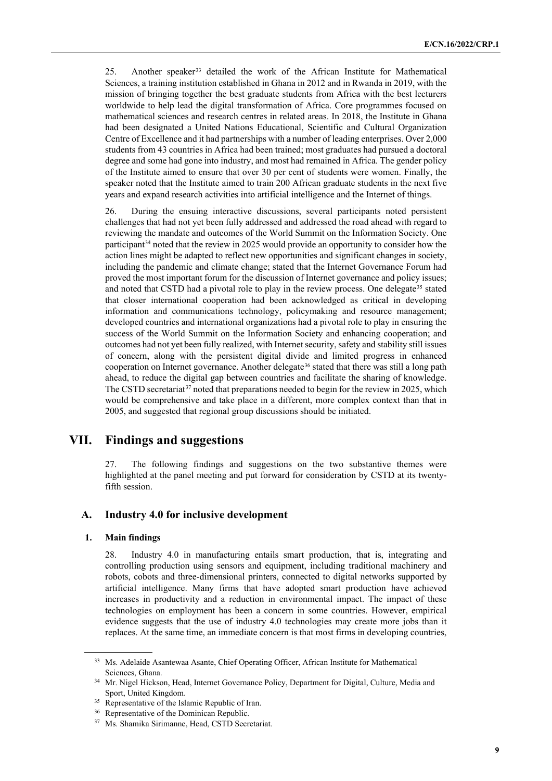25. Another speaker[33](#page-8-0) detailed the work of the African Institute for Mathematical Sciences, a training institution established in Ghana in 2012 and in Rwanda in 2019, with the mission of bringing together the best graduate students from Africa with the best lecturers worldwide to help lead the digital transformation of Africa. Core programmes focused on mathematical sciences and research centres in related areas. In 2018, the Institute in Ghana had been designated a United Nations Educational, Scientific and Cultural Organization Centre of Excellence and it had partnerships with a number of leading enterprises. Over 2,000 students from 43 countries in Africa had been trained; most graduates had pursued a doctoral degree and some had gone into industry, and most had remained in Africa. The gender policy of the Institute aimed to ensure that over 30 per cent of students were women. Finally, the speaker noted that the Institute aimed to train 200 African graduate students in the next five years and expand research activities into artificial intelligence and the Internet of things.

26. During the ensuing interactive discussions, several participants noted persistent challenges that had not yet been fully addressed and addressed the road ahead with regard to reviewing the mandate and outcomes of the World Summit on the Information Society. One participant<sup>[34](#page-8-1)</sup> noted that the review in 2025 would provide an opportunity to consider how the action lines might be adapted to reflect new opportunities and significant changes in society, including the pandemic and climate change; stated that the Internet Governance Forum had proved the most important forum for the discussion of Internet governance and policy issues; and noted that CSTD had a pivotal role to play in the review process. One delegate<sup>[35](#page-8-2)</sup> stated that closer international cooperation had been acknowledged as critical in developing information and communications technology, policymaking and resource management; developed countries and international organizations had a pivotal role to play in ensuring the success of the World Summit on the Information Society and enhancing cooperation; and outcomes had not yet been fully realized, with Internet security, safety and stability still issues of concern, along with the persistent digital divide and limited progress in enhanced cooperation on Internet governance. Another delegate<sup>[36](#page-8-3)</sup> stated that there was still a long path ahead, to reduce the digital gap between countries and facilitate the sharing of knowledge. The CSTD secretariat<sup>[37](#page-8-4)</sup> noted that preparations needed to begin for the review in 2025, which would be comprehensive and take place in a different, more complex context than that in 2005, and suggested that regional group discussions should be initiated.

### **VII. Findings and suggestions**

27. The following findings and suggestions on the two substantive themes were highlighted at the panel meeting and put forward for consideration by CSTD at its twentyfifth session.

### **A. Industry 4.0 for inclusive development**

#### **1. Main findings**

28. Industry 4.0 in manufacturing entails smart production, that is, integrating and controlling production using sensors and equipment, including traditional machinery and robots, cobots and three-dimensional printers, connected to digital networks supported by artificial intelligence. Many firms that have adopted smart production have achieved increases in productivity and a reduction in environmental impact. The impact of these technologies on employment has been a concern in some countries. However, empirical evidence suggests that the use of industry 4.0 technologies may create more jobs than it replaces. At the same time, an immediate concern is that most firms in developing countries,

<span id="page-8-0"></span><sup>&</sup>lt;sup>33</sup> Ms. Adelaide Asantewaa Asante, Chief Operating Officer, African Institute for Mathematical Sciences, Ghana.

<span id="page-8-1"></span><sup>&</sup>lt;sup>34</sup> Mr. Nigel Hickson, Head, Internet Governance Policy, Department for Digital, Culture, Media and Sport, United Kingdom.

<span id="page-8-2"></span><sup>&</sup>lt;sup>35</sup> Representative of the Islamic Republic of Iran.

<span id="page-8-3"></span><sup>&</sup>lt;sup>36</sup> Representative of the Dominican Republic.

<span id="page-8-4"></span><sup>37</sup> Ms. Shamika Sirimanne, Head, CSTD Secretariat.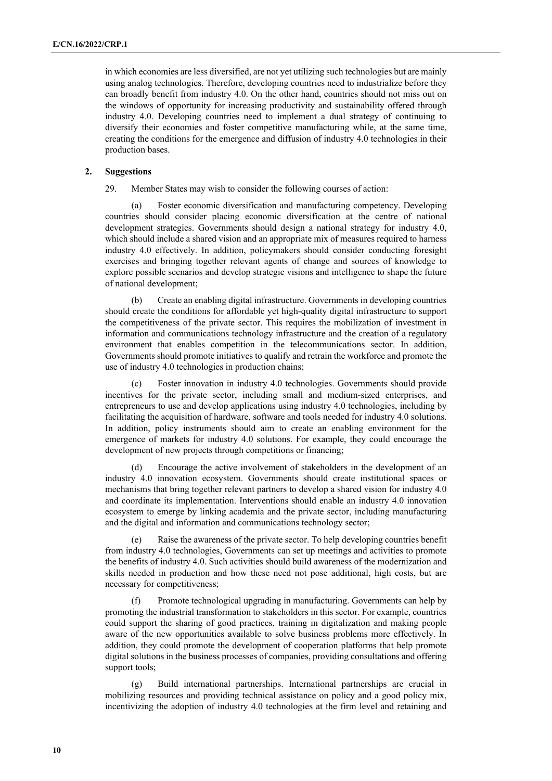in which economies are less diversified, are not yet utilizing such technologies but are mainly using analog technologies. Therefore, developing countries need to industrialize before they can broadly benefit from industry 4.0. On the other hand, countries should not miss out on the windows of opportunity for increasing productivity and sustainability offered through industry 4.0. Developing countries need to implement a dual strategy of continuing to diversify their economies and foster competitive manufacturing while, at the same time, creating the conditions for the emergence and diffusion of industry 4.0 technologies in their production bases.

### **2. Suggestions**

29. Member States may wish to consider the following courses of action:

(a) Foster economic diversification and manufacturing competency. Developing countries should consider placing economic diversification at the centre of national development strategies. Governments should design a national strategy for industry 4.0, which should include a shared vision and an appropriate mix of measures required to harness industry 4.0 effectively. In addition, policymakers should consider conducting foresight exercises and bringing together relevant agents of change and sources of knowledge to explore possible scenarios and develop strategic visions and intelligence to shape the future of national development;

(b) Create an enabling digital infrastructure. Governments in developing countries should create the conditions for affordable yet high-quality digital infrastructure to support the competitiveness of the private sector. This requires the mobilization of investment in information and communications technology infrastructure and the creation of a regulatory environment that enables competition in the telecommunications sector. In addition, Governments should promote initiatives to qualify and retrain the workforce and promote the use of industry 4.0 technologies in production chains;

(c) Foster innovation in industry 4.0 technologies. Governments should provide incentives for the private sector, including small and medium-sized enterprises, and entrepreneurs to use and develop applications using industry 4.0 technologies, including by facilitating the acquisition of hardware, software and tools needed for industry 4.0 solutions. In addition, policy instruments should aim to create an enabling environment for the emergence of markets for industry 4.0 solutions. For example, they could encourage the development of new projects through competitions or financing;

(d) Encourage the active involvement of stakeholders in the development of an industry 4.0 innovation ecosystem. Governments should create institutional spaces or mechanisms that bring together relevant partners to develop a shared vision for industry 4.0 and coordinate its implementation. Interventions should enable an industry 4.0 innovation ecosystem to emerge by linking academia and the private sector, including manufacturing and the digital and information and communications technology sector;

(e) Raise the awareness of the private sector. To help developing countries benefit from industry 4.0 technologies, Governments can set up meetings and activities to promote the benefits of industry 4.0. Such activities should build awareness of the modernization and skills needed in production and how these need not pose additional, high costs, but are necessary for competitiveness;

Promote technological upgrading in manufacturing. Governments can help by promoting the industrial transformation to stakeholders in this sector. For example, countries could support the sharing of good practices, training in digitalization and making people aware of the new opportunities available to solve business problems more effectively. In addition, they could promote the development of cooperation platforms that help promote digital solutions in the business processes of companies, providing consultations and offering support tools;

(g) Build international partnerships. International partnerships are crucial in mobilizing resources and providing technical assistance on policy and a good policy mix, incentivizing the adoption of industry 4.0 technologies at the firm level and retaining and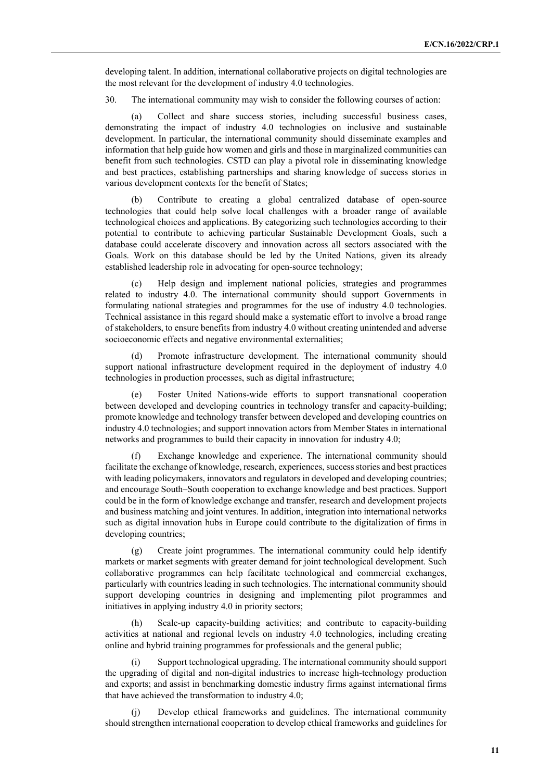developing talent. In addition, international collaborative projects on digital technologies are the most relevant for the development of industry 4.0 technologies.

30. The international community may wish to consider the following courses of action:

Collect and share success stories, including successful business cases, demonstrating the impact of industry 4.0 technologies on inclusive and sustainable development. In particular, the international community should disseminate examples and information that help guide how women and girls and those in marginalized communities can benefit from such technologies. CSTD can play a pivotal role in disseminating knowledge and best practices, establishing partnerships and sharing knowledge of success stories in various development contexts for the benefit of States;

(b) Contribute to creating a global centralized database of open-source technologies that could help solve local challenges with a broader range of available technological choices and applications. By categorizing such technologies according to their potential to contribute to achieving particular Sustainable Development Goals, such a database could accelerate discovery and innovation across all sectors associated with the Goals. Work on this database should be led by the United Nations, given its already established leadership role in advocating for open-source technology;

Help design and implement national policies, strategies and programmes related to industry 4.0. The international community should support Governments in formulating national strategies and programmes for the use of industry 4.0 technologies. Technical assistance in this regard should make a systematic effort to involve a broad range of stakeholders, to ensure benefits from industry 4.0 without creating unintended and adverse socioeconomic effects and negative environmental externalities;

(d) Promote infrastructure development. The international community should support national infrastructure development required in the deployment of industry 4.0 technologies in production processes, such as digital infrastructure;

Foster United Nations-wide efforts to support transnational cooperation between developed and developing countries in technology transfer and capacity-building; promote knowledge and technology transfer between developed and developing countries on industry 4.0 technologies; and support innovation actors from Member States in international networks and programmes to build their capacity in innovation for industry 4.0;

Exchange knowledge and experience. The international community should facilitate the exchange of knowledge, research, experiences, success stories and best practices with leading policymakers, innovators and regulators in developed and developing countries; and encourage South–South cooperation to exchange knowledge and best practices. Support could be in the form of knowledge exchange and transfer, research and development projects and business matching and joint ventures. In addition, integration into international networks such as digital innovation hubs in Europe could contribute to the digitalization of firms in developing countries;

(g) Create joint programmes. The international community could help identify markets or market segments with greater demand for joint technological development. Such collaborative programmes can help facilitate technological and commercial exchanges, particularly with countries leading in such technologies. The international community should support developing countries in designing and implementing pilot programmes and initiatives in applying industry 4.0 in priority sectors;

(h) Scale-up capacity-building activities; and contribute to capacity-building activities at national and regional levels on industry 4.0 technologies, including creating online and hybrid training programmes for professionals and the general public;

Support technological upgrading. The international community should support the upgrading of digital and non-digital industries to increase high-technology production and exports; and assist in benchmarking domestic industry firms against international firms that have achieved the transformation to industry 4.0;

(j) Develop ethical frameworks and guidelines. The international community should strengthen international cooperation to develop ethical frameworks and guidelines for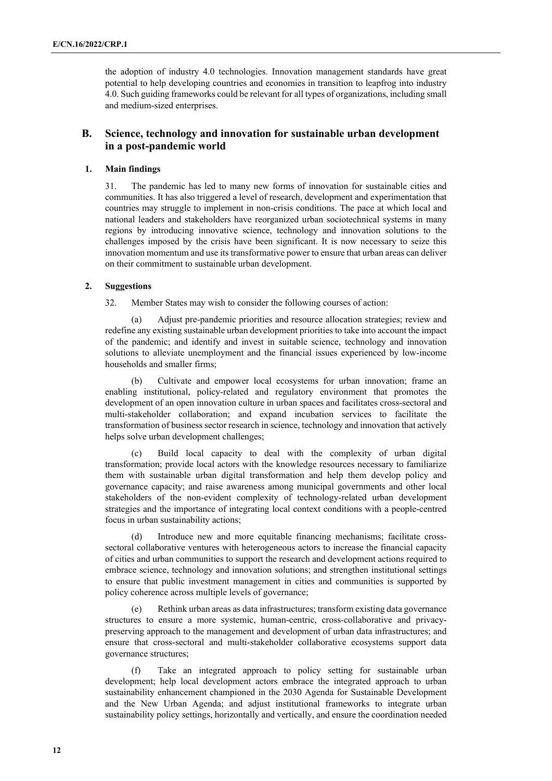the adoption of industry 4.0 technologies. Innovation management standards have great potential to help developing countries and economies in transition to leapfrog into industry 4.0. Such guiding frameworks could be relevant for all types of organizations, including small and medium-sized enterprises.

### **B. Science, technology and innovation for sustainable urban development in a post-pandemic world**

### **1. Main findings**

31. The pandemic has led to many new forms of innovation for sustainable cities and communities. It has also triggered a level of research, development and experimentation that countries may struggle to implement in non-crisis conditions. The pace at which local and national leaders and stakeholders have reorganized urban sociotechnical systems in many regions by introducing innovative science, technology and innovation solutions to the challenges imposed by the crisis have been significant. It is now necessary to seize this innovation momentum and use its transformative power to ensure that urban areas can deliver on their commitment to sustainable urban development.

#### **2. Suggestions**

32. Member States may wish to consider the following courses of action:

(a) Adjust pre-pandemic priorities and resource allocation strategies; review and redefine any existing sustainable urban development priorities to take into account the impact of the pandemic; and identify and invest in suitable science, technology and innovation solutions to alleviate unemployment and the financial issues experienced by low-income households and smaller firms;

(b) Cultivate and empower local ecosystems for urban innovation; frame an enabling institutional, policy-related and regulatory environment that promotes the development of an open innovation culture in urban spaces and facilitates cross-sectoral and multi-stakeholder collaboration; and expand incubation services to facilitate the transformation of business sector research in science, technology and innovation that actively helps solve urban development challenges;

(c) Build local capacity to deal with the complexity of urban digital transformation; provide local actors with the knowledge resources necessary to familiarize them with sustainable urban digital transformation and help them develop policy and governance capacity; and raise awareness among municipal governments and other local stakeholders of the non-evident complexity of technology-related urban development strategies and the importance of integrating local context conditions with a people-centred focus in urban sustainability actions;

(d) Introduce new and more equitable financing mechanisms; facilitate crosssectoral collaborative ventures with heterogeneous actors to increase the financial capacity of cities and urban communities to support the research and development actions required to embrace science, technology and innovation solutions; and strengthen institutional settings to ensure that public investment management in cities and communities is supported by policy coherence across multiple levels of governance;

(e) Rethink urban areas as data infrastructures; transform existing data governance structures to ensure a more systemic, human-centric, cross-collaborative and privacypreserving approach to the management and development of urban data infrastructures; and ensure that cross-sectoral and multi-stakeholder collaborative ecosystems support data governance structures;

(f) Take an integrated approach to policy setting for sustainable urban development; help local development actors embrace the integrated approach to urban sustainability enhancement championed in the 2030 Agenda for Sustainable Development and the New Urban Agenda; and adjust institutional frameworks to integrate urban sustainability policy settings, horizontally and vertically, and ensure the coordination needed